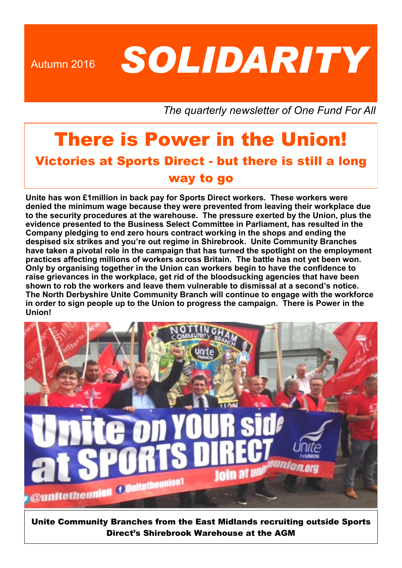Autumn 2016 **SOLIDARITY** 

*The quarterly newsletter of One Fund For All* 

# There is Power in the Union! Victories at Sports Direct - but there is still a long way to go

**Unite has won £1million in back pay for Sports Direct workers. These workers were denied the minimum wage because they were prevented from leaving their workplace due to the security procedures at the warehouse. The pressure exerted by the Union, plus the evidence presented to the Business Select Committee in Parliament, has resulted in the Company pledging to end zero hours contract working in the shops and ending the despised six strikes and you're out regime in Shirebrook. Unite Community Branches have taken a pivotal role in the campaign that has turned the spotlight on the employment practices affecting millions of workers across Britain. The battle has not yet been won. Only by organising together in the Union can workers begin to have the confidence to raise grievances in the workplace, get rid of the bloodsucking agencies that have been shown to rob the workers and leave them vulnerable to dismissal at a second's notice. The North Derbyshire Unite Community Branch will continue to engage with the workforce in order to sign people up to the Union to progress the campaign. There is Power in the Union!**



Unite Community Branches from the East Midlands recruiting outside Sports Direct's Shirebrook Warehouse at the AGM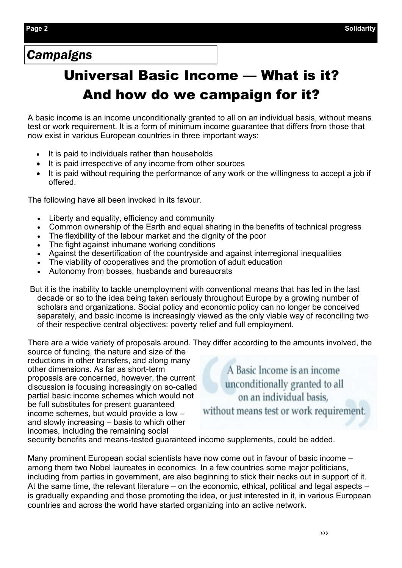## *Campaigns*

# Universal Basic Income — What is it? And how do we campaign for it?

A basic income is an income unconditionally granted to all on an individual basis, without means test or work requirement. It is a form of minimum income guarantee that differs from those that now exist in various European countries in three important ways:

- It is paid to individuals rather than households
- It is paid irrespective of any income from other sources
- It is paid without requiring the performance of any work or the willingness to accept a job if offered.

The following have all been invoked in its favour.

- Liberty and equality, efficiency and community
- Common ownership of the Earth and equal sharing in the benefits of technical progress
- The flexibility of the labour market and the dignity of the poor
- The fight against inhumane working conditions
- Against the desertification of the countryside and against interregional inequalities
- The viability of cooperatives and the promotion of adult education
- Autonomy from bosses, husbands and bureaucrats

But it is the inability to tackle unemployment with conventional means that has led in the last decade or so to the idea being taken seriously throughout Europe by a growing number of scholars and organizations. Social policy and economic policy can no longer be conceived separately, and basic income is increasingly viewed as the only viable way of reconciling two of their respective central objectives: poverty relief and full employment.

There are a wide variety of proposals around. They differ according to the amounts involved, the

source of funding, the nature and size of the reductions in other transfers, and along many other dimensions. As far as short-term proposals are concerned, however, the current discussion is focusing increasingly on so-called partial basic income schemes which would not be full substitutes for present guaranteed income schemes, but would provide a low – and slowly increasing – basis to which other incomes, including the remaining social

A Basic Income is an income unconditionally granted to all on an individual basis. without means test or work requirement.

security benefits and means-tested guaranteed income supplements, could be added.

Many prominent European social scientists have now come out in favour of basic income – among them two Nobel laureates in economics. In a few countries some major politicians, including from parties in government, are also beginning to stick their necks out in support of it. At the same time, the relevant literature – on the economic, ethical, political and legal aspects – is gradually expanding and those promoting the idea, or just interested in it, in various European countries and across the world have started organizing into an active network.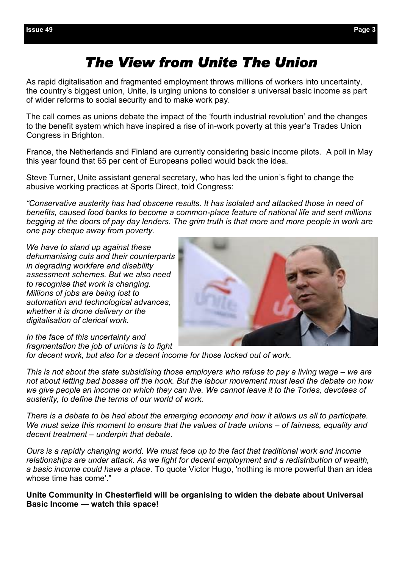# *The View from Unite The Union*

As rapid digitalisation and fragmented employment throws millions of workers into uncertainty, the country's biggest union, Unite, is urging unions to consider a universal basic income as part of wider reforms to social security and to make work pay.

The call comes as unions debate the impact of the 'fourth industrial revolution' and the changes to the benefit system which have inspired a rise of in-work poverty at this year's Trades Union Congress in Brighton.

France, the Netherlands and Finland are currently considering basic income pilots. A poll in May this year found that 65 per cent of Europeans polled would back the idea.

Steve Turner, Unite assistant general secretary, who has led the union's fight to change the abusive working practices at Sports Direct, told Congress:

*"Conservative austerity has had obscene results. It has isolated and attacked those in need of benefits, caused food banks to become a common-place feature of national life and sent millions begging at the doors of pay day lenders. The grim truth is that more and more people in work are one pay cheque away from poverty.*

*We have to stand up against these dehumanising cuts and their counterparts in degrading workfare and disability assessment schemes. But we also need to recognise that work is changing. Millions of jobs are being lost to automation and technological advances, whether it is drone delivery or the digitalisation of clerical work.* 



*In the face of this uncertainty and fragmentation the job of unions is to fight* 

*for decent work, but also for a decent income for those locked out of work.* 

*This is not about the state subsidising those employers who refuse to pay a living wage – we are not about letting bad bosses off the hook. But the labour movement must lead the debate on how we give people an income on which they can live. We cannot leave it to the Tories, devotees of austerity, to define the terms of our world of work.* 

*There is a debate to be had about the emerging economy and how it allows us all to participate. We must seize this moment to ensure that the values of trade unions – of fairness, equality and decent treatment – underpin that debate.* 

*Ours is a rapidly changing world. We must face up to the fact that traditional work and income relationships are under attack. As we fight for decent employment and a redistribution of wealth, a basic income could have a place*. To quote Victor Hugo, 'nothing is more powerful than an idea whose time has come'."

**Unite Community in Chesterfield will be organising to widen the debate about Universal Basic Income — watch this space!**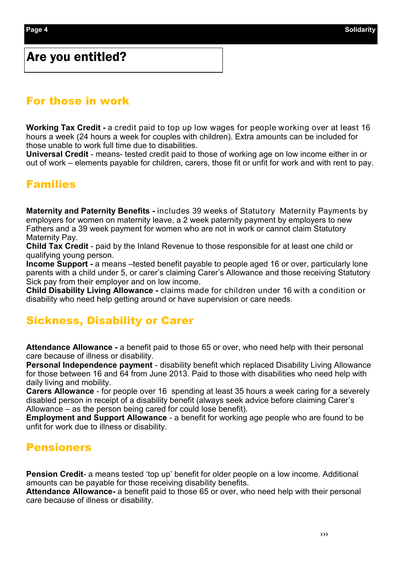#### Are you entitled?

#### For those in work

**Working Tax Credit -** a credit paid to top up low wages for people working over at least 16 hours a week (24 hours a week for couples with children). Extra amounts can be included for those unable to work full time due to disabilities.

**Universal Credit** - means- tested credit paid to those of working age on low income either in or out of work – elements payable for children, carers, those fit or unfit for work and with rent to pay.

#### Families

**Maternity and Paternity Benefits -** includes 39 weeks of Statutory Maternity Payments by employers for women on maternity leave, a 2 week paternity payment by employers to new Fathers and a 39 week payment for women who are not in work or cannot claim Statutory Maternity Pay.

**Child Tax Credit** - paid by the Inland Revenue to those responsible for at least one child or qualifying young person.

**Income Support -** a means –tested benefit payable to people aged 16 or over, particularly lone parents with a child under 5, or carer's claiming Carer's Allowance and those receiving Statutory Sick pay from their employer and on low income.

**Child Disability Living Allowance -** claims made for children under 16 with a condition or disability who need help getting around or have supervision or care needs.

#### Sickness, Disability or Carer

**Attendance Allowance -** a benefit paid to those 65 or over, who need help with their personal care because of illness or disability.

**Personal Independence payment** - disability benefit which replaced Disability Living Allowance for those between 16 and 64 from June 2013. Paid to those with disabilities who need help with daily living and mobility.

**Carers Allowance** - for people over 16 spending at least 35 hours a week caring for a severely disabled person in receipt of a disability benefit (always seek advice before claiming Carer's Allowance – as the person being cared for could lose benefit).

**Employment and Support Allowance** - a benefit for working age people who are found to be unfit for work due to illness or disability.

#### Pensioners

**Pension Credit**- a means tested 'top up' benefit for older people on a low income. Additional amounts can be payable for those receiving disability benefits.

**Attendance Allowance-** a benefit paid to those 65 or over, who need help with their personal care because of illness or disability.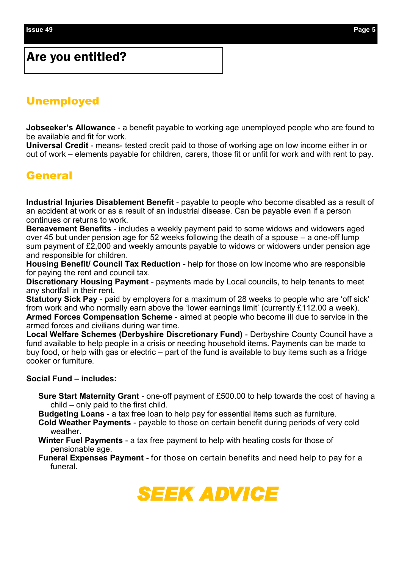### Are you entitled?

#### **Unemployed**

**Jobseeker's Allowance** - a benefit payable to working age unemployed people who are found to be available and fit for work.

**Universal Credit** - means- tested credit paid to those of working age on low income either in or out of work – elements payable for children, carers, those fit or unfit for work and with rent to pay.

#### **General**

**Industrial Injuries Disablement Benefit** - payable to people who become disabled as a result of an accident at work or as a result of an industrial disease. Can be payable even if a person continues or returns to work.

**Bereavement Benefits** - includes a weekly payment paid to some widows and widowers aged over 45 but under pension age for 52 weeks following the death of a spouse – a one-off lump sum payment of £2,000 and weekly amounts payable to widows or widowers under pension age and responsible for children.

**Housing Benefit/ Council Tax Reduction** - help for those on low income who are responsible for paying the rent and council tax.

**Discretionary Housing Payment** - payments made by Local councils, to help tenants to meet any shortfall in their rent.

**Statutory Sick Pay** - paid by employers for a maximum of 28 weeks to people who are 'off sick' from work and who normally earn above the 'lower earnings limit' (currently £112.00 a week). **Armed Forces Compensation Scheme** - aimed at people who become ill due to service in the armed forces and civilians during war time.

**Local Welfare Schemes (Derbyshire Discretionary Fund)** - Derbyshire County Council have a fund available to help people in a crisis or needing household items. Payments can be made to buy food, or help with gas or electric – part of the fund is available to buy items such as a fridge cooker or furniture.

#### **Social Fund – includes:**

- **Sure Start Maternity Grant**  one-off payment of £500.00 to help towards the cost of having a child – only paid to the first child.
- **Budgeting Loans**  a tax free loan to help pay for essential items such as furniture.
- **Cold Weather Payments**  payable to those on certain benefit during periods of very cold weather.
- **Winter Fuel Payments**  a tax free payment to help with heating costs for those of pensionable age.
- **Funeral Expenses Payment -** for those on certain benefits and need help to pay for a funeral.

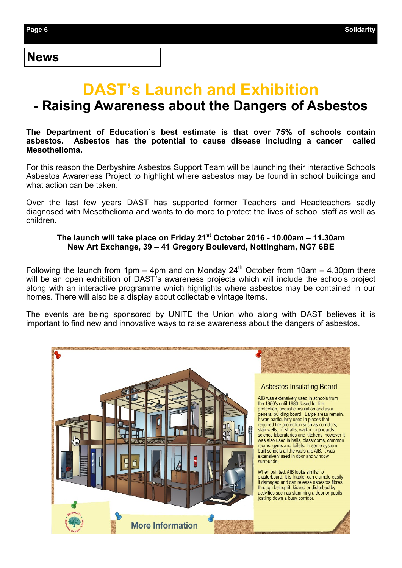#### News

# **DAST's Launch and Exhibition - Raising Awareness about the Dangers of Asbestos**

#### **The Department of Education's best estimate is that over 75% of schools contain**  Asbestos has the potential to cause disease including a cancer **Mesothelioma.**

For this reason the Derbyshire Asbestos Support Team will be launching their interactive Schools Asbestos Awareness Project to highlight where asbestos may be found in school buildings and what action can be taken.

Over the last few years DAST has supported former Teachers and Headteachers sadly diagnosed with Mesothelioma and wants to do more to protect the lives of school staff as well as children.

#### **The launch will take place on Friday 21st October 2016 - 10.00am – 11.30am New Art Exchange, 39 – 41 Gregory Boulevard, Nottingham, NG7 6BE**

Following the launch from 1pm – 4pm and on Monday  $24<sup>th</sup>$  October from 10am – 4.30pm there will be an open exhibition of DAST's awareness projects which will include the schools project along with an interactive programme which highlights where asbestos may be contained in our homes. There will also be a display about collectable vintage items.

The events are being sponsored by UNITE the Union who along with DAST believes it is important to find new and innovative ways to raise awareness about the dangers of asbestos.

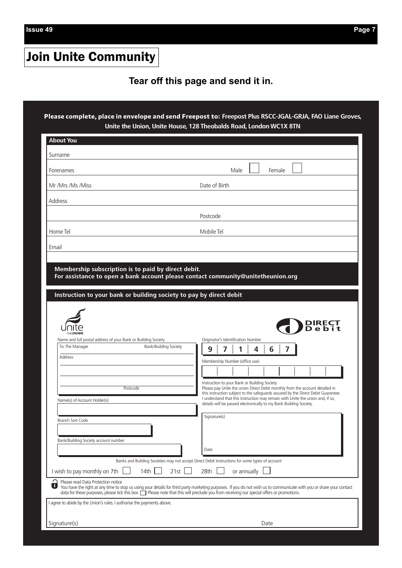**Issue 49 Page 7**

# Join Unite Community

#### $\epsilon$  Tear off this page and send it in.

**Please complete, place in envelope and send Freepost to: Freepost Plus RSCC-JGAL-GRJA, FAO Liane Groves, Unite the Union, Unite House, 128 Theobalds Road, London WC1X 8TN**

| Surname                                                                |                                                                                                                                                                      |
|------------------------------------------------------------------------|----------------------------------------------------------------------------------------------------------------------------------------------------------------------|
|                                                                        |                                                                                                                                                                      |
| Forenames                                                              | Male<br>Female                                                                                                                                                       |
| Mr /Mrs /Ms /Miss                                                      | Date of Birth                                                                                                                                                        |
|                                                                        |                                                                                                                                                                      |
| Address                                                                |                                                                                                                                                                      |
|                                                                        | Postcode                                                                                                                                                             |
|                                                                        |                                                                                                                                                                      |
| Home Tel                                                               | Mobile Tel                                                                                                                                                           |
| Email                                                                  |                                                                                                                                                                      |
|                                                                        |                                                                                                                                                                      |
|                                                                        |                                                                                                                                                                      |
| Membership subscription is to paid by direct debit.                    |                                                                                                                                                                      |
|                                                                        | For assistance to open a bank account please contact community@unitetheunion.org                                                                                     |
|                                                                        |                                                                                                                                                                      |
|                                                                        | Instruction to your bank or building society to pay by direct debit                                                                                                  |
|                                                                        |                                                                                                                                                                      |
|                                                                        |                                                                                                                                                                      |
|                                                                        |                                                                                                                                                                      |
|                                                                        |                                                                                                                                                                      |
|                                                                        | DIRECT<br>D e b i t                                                                                                                                                  |
|                                                                        |                                                                                                                                                                      |
| Name and full postal address of your Bank or Building Society          | Originator's Identification Number                                                                                                                                   |
|                                                                        |                                                                                                                                                                      |
| To: The Manager                                                        | Bank/Building Society                                                                                                                                                |
|                                                                        | 7<br>9<br>6<br>4                                                                                                                                                     |
| <b>Address</b>                                                         |                                                                                                                                                                      |
|                                                                        | Membership Number (office use)                                                                                                                                       |
|                                                                        |                                                                                                                                                                      |
|                                                                        |                                                                                                                                                                      |
| Postcode                                                               | Instruction to your Bank or Building Society<br>Please pay Unite the union Direct Debit monthly from the account detailed in                                         |
|                                                                        | this instruction subject to the safeguards assured by the Direct Debit Guarantee.                                                                                    |
| Name(s) of Account Holder(s)                                           | I understand that this instruction may remain with Unite the union and, if so,                                                                                       |
|                                                                        | details will be passed electronically to my Bank Building Society.                                                                                                   |
|                                                                        | Signature(s)                                                                                                                                                         |
| Branch Sort Code                                                       |                                                                                                                                                                      |
|                                                                        |                                                                                                                                                                      |
|                                                                        |                                                                                                                                                                      |
| Bank/Building Society account number                                   |                                                                                                                                                                      |
|                                                                        | Date                                                                                                                                                                 |
|                                                                        |                                                                                                                                                                      |
|                                                                        | Banks and Building Societies may not accept Direct Debit Instructions for some types of account                                                                      |
| I wish to pay monthly on 7th                                           | 14th<br>21st<br>28th<br>or annually                                                                                                                                  |
|                                                                        |                                                                                                                                                                      |
| Please read Data Protection notice<br>O                                |                                                                                                                                                                      |
|                                                                        | data for these purposes, please tick this box $\Box$ Please note that this will predude you from receiving our special offers or promotions.                         |
|                                                                        |                                                                                                                                                                      |
| I agree to abide by the Union's rules. I authorise the payments above. |                                                                                                                                                                      |
|                                                                        | You have the right at any time to stop us using your details for third party marketing purposes. If you do not wish us to communicate with you or share your contact |
| Signature(s)                                                           | Date                                                                                                                                                                 |